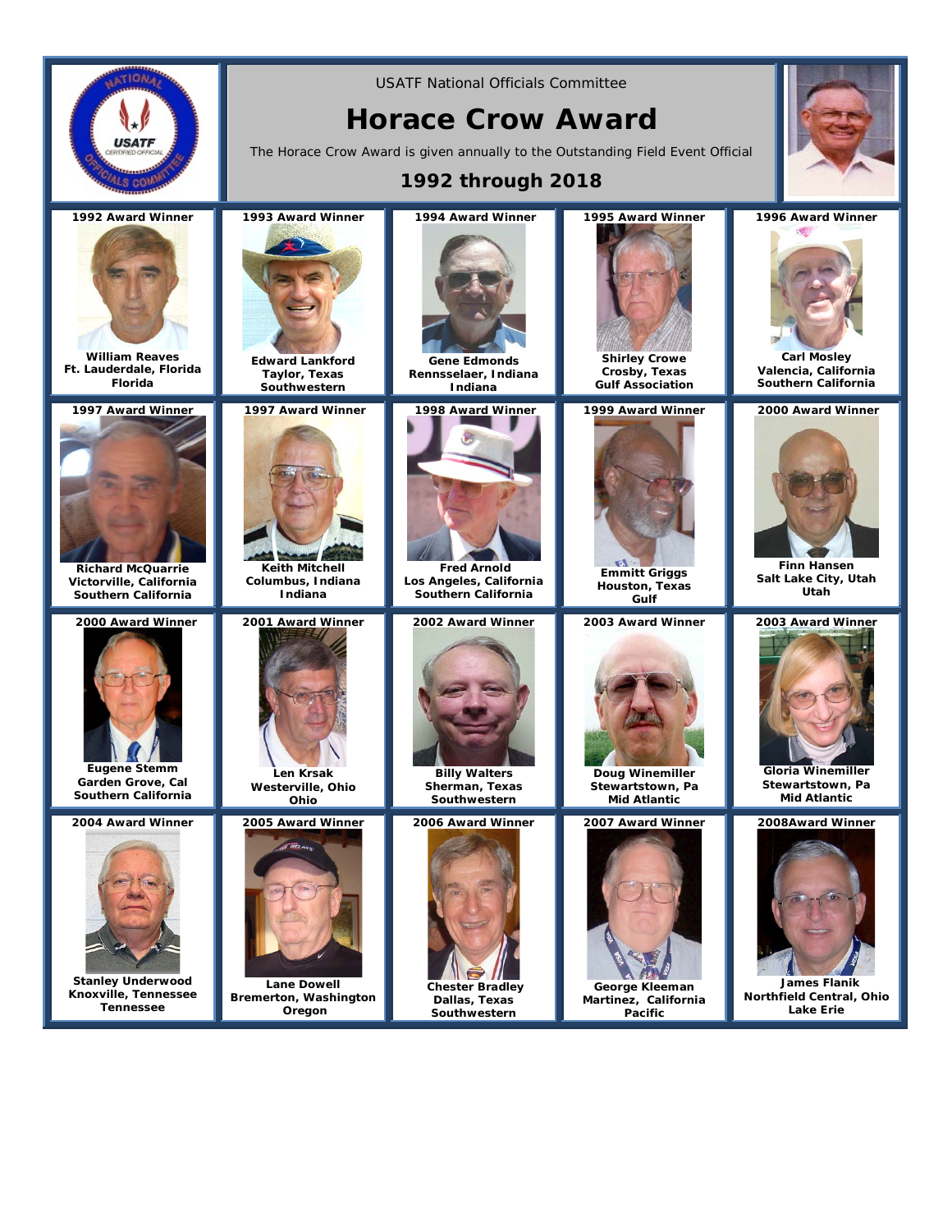